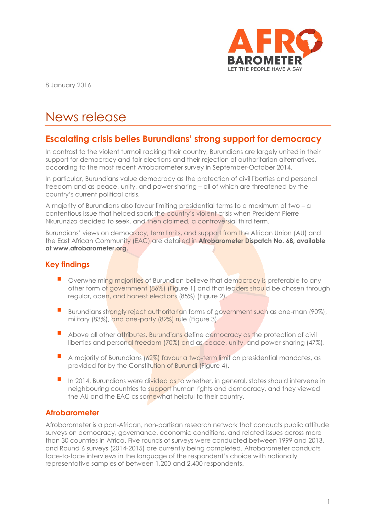

8 January 2016

# News release

## **Escalating crisis belies Burundians' strong support for democracy**

In contrast to the violent turmoil racking their country, Burundians are largely united in their support for democracy and fair elections and their rejection of authoritarian alternatives, according to the most recent Afrobarometer survey in September-October 2014.

In particular, Burundians value democracy as the protection of civil liberties and personal freedom and as peace, unity, and power-sharing – all of which are threatened by the country's current political crisis.

A majority of Burundians also favour limiting presidential terms to a maximum of two – a contentious issue that helped spark the country's violent crisis when President Pierre Nkurunziza decided to seek, and then claimed, a controversial third term.

Burundians' views on democracy, term limits, and support from the African Union (AU) and the East African Community (EAC) are detailed in **Afrobarometer Dispatch No. 68, available at www.afrobarometer.org.**

#### **Key findings**

- Overwhelming majorities of Burundian believe that democracy is preferable to any other form of government (86%) (Figure 1) and that leaders should be chosen through regular, open, and honest elections (85%) (Figure 2).
- Burundians strongly reject authoritarian forms of government such as one-man (90%), military (83%), and one-party (82%) rule (Figure 3).
- Above all other attributes, Burundians define democracy as the protection of civil liberties and personal freedom (70%) and as peace, unity, and power-sharing (47%).
- A majority of Burundians (62%) favour a two-term limit on presidential mandates, as provided for by the Constitution of Burundi (Figure 4).
- In 2014, Burundians were divided as to whether, in general, states should intervene in neighbouring countries to support human rights and democracy, and they viewed the AU and the EAC as somewhat helpful to their country.

#### **Afrobarometer**

Afrobarometer is a pan-African, non-partisan research network that conducts public attitude surveys on democracy, governance, economic conditions, and related issues across more than 30 countries in Africa. Five rounds of surveys were conducted between 1999 and 2013, and Round 6 surveys (2014-2015) are currently being completed. Afrobarometer conducts face-to-face interviews in the language of the respondent's choice with nationally representative samples of between 1,200 and 2,400 respondents.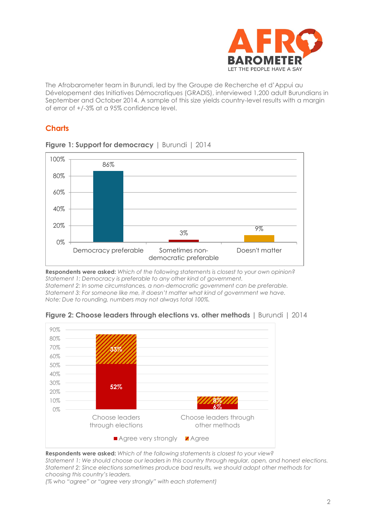

The Afrobarometer team in Burundi, led by the Groupe de Recherche et d'Appui au Dévelopement des Initiatives Démocratiques (GRADIS), interviewed 1,200 adult Burundians in September and October 2014. A sample of this size yields country-level results with a margin of error of +/-3% at a 95% confidence level.

### **Charts**



#### **Figure 1: Support for democracy** | Burundi | 2014

**Respondents were asked:** *Which of the following statements is closest to your own opinion? Statement 1: Democracy is preferable to any other kind of government. Statement 2: In some circumstances, a non-democratic government can be preferable. Statement 3: For someone like me, it doesn't matter what kind of government we have. Note: Due to rounding, numbers may not always total 100%.*



**Figure 2: Choose leaders through elections vs. other methods |** Burundi | 2014

**Respondents were asked:** *Which of the following statements is closest to your view?*

*Statement 1: We should choose our leaders in this country through regular, open, and honest elections. Statement 2: Since elections sometimes produce bad results, we should adopt other methods for choosing this country's leaders.*

*(% who "agree" or "agree very strongly" with each statement)*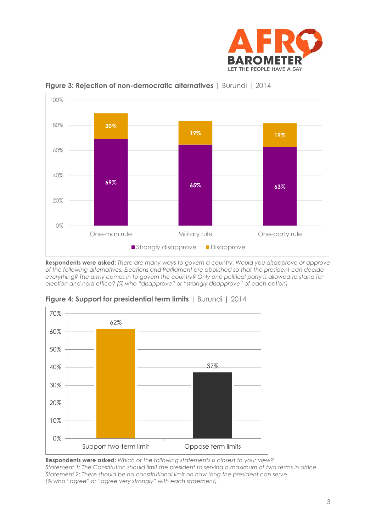



**Figure 3: Rejection of non-democratic alternatives** | Burundi | 2014

**Respondents were asked**: *There are many ways to govern a country. Would you disapprove or approve of the following alternatives: Elections and Parliament are abolished so that the president can decide everything? The army comes in to govern the country? Only one political party is allowed to stand for election and hold office? (% who "disapprove" or "strongly disapprove" of each option)*



**Figure 4: Support for presidential term limits** | Burundi | 2014

**Respondents were asked:** *Which of the following statements is closest to your view? Statement 1: The Constitution should limit the president to serving a maximum of two terms in office. Statement 2: There should be no constitutional limit on how long the president can serve. (% who "agree" or "agree very strongly" with each statement)*